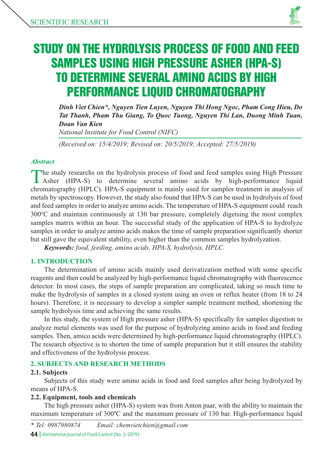

# STUDY ON THE HYDROLYSIS PROCESS OF FOOD AND FEED SAMPLES USING HIGH PRESSURE ASHER (HPA-S) TO DETERMINE SEVERAL AMINO ACIDS BY HIGH PERFORMANCE LIQUID CHROMATOGRAPHY

*Dinh Viet Chien\*, Nguyen Tien Luyen, Nguyen Thi Hong Ngoc, Pham Cong Hieu, Do Tat Thanh, Pham Thu Giang, To Quoc Tuong, Nguyen Thi Lan, Duong Minh Tuan, Doan Van Kien*

*National Institute for Food Control (NIFC)*

*(Received on: 15/4/2019; Revised on: 20/5/2019; Accepted: 27/5/2019)*

#### *Abstract*

The study researchs on the hydrolysis process of food and feed samples using High Pressure Asher (HPA-S) to determine several amino acids by high-performance liquid chromatography (HPLC). HPA-S equipment is mainly used for samples treatment in analysis of metals by spectroscopy. However, the study also found that HPA-S can be used in hydrolysis of food and feed samples in order to analyze amino acids. The temperature of HPA-S equipment could reach 300°C and maintain continuously at 130 bar pressure, completely digetsing the most complex samples matrix within an hour. The successful study of the application of HPA-S to hydrolyze samples in order to analyze amino acids makes the time of sample preparation significantly shorter but still gave the equivalent stability, even higher than the common samples hydrolyzation.

*Keywords: food, feeding, amino acids, HPA-S, hydrolysis, HPLC.*

## **1. INTRODUCTION**

The determination of amino acids mainly used derivatization method with some specific reagents and then could be analyzed by high-performance liquid chromatography with fluorescence detector. In most cases, the steps of sample preparation are complicated, taking so much time to make the hydrolysis of samples in a closed system using an oven or reflux heater (from 18 to 24 hours). Therefore, it is necessary to develop a simpler sample treatment method, shortening the sample hydrolysis time and achieving the same results.

In this study, the system of High pressure asher (HPA-S) specifically for samples digestion to analyze metal elements was used for the purpose of hydrolyzing amino acids in food and feeding samples. Then, amico acids were determined by high-performance liquid chromatography (HPLC). The research objective is to shorten the time of sample preparation but it still ensures the stability and effectiveness of the hydrolysis process.

## **2. SUBJECTS AND RESEARCH METHODS**

## **2.1. Subjects**

Subjects of this study were amino acids in food and feed samples after being hydrolyzed by means of HPA-S.

#### **2.2. Equipment, tools and chemicals**

The high pressure asher (HPA-S) system was from Anton paar, with the ability to maintain the maximum temperature of 300°C and the maximum pressure of 130 bar. High-performance liquid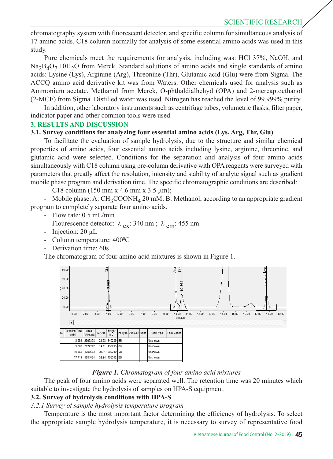chromatography system with fluorescent detector, and specific column for simultaneous analysis of 17 amino acids, C18 column normally for analysis of some essential amino acids was used in this study.

Pure chemicals meet the requirements for analysis, including was: HCl 37%, NaOH, and  $Na<sub>2</sub>B<sub>4</sub>O<sub>7</sub>$ .10H<sub>2</sub>O from Merck. Standard solutions of amino acids and single standards of amino acids: Lysine (Lys), Arginine (Arg), Threonine (Thr), Glutamic acid (Glu) were from Sigma. The ACCQ amino acid derivative kit was from Waters. Other chemicals used for analysis such as Ammonium acetate, Methanol from Merck, O-phthaldialhehyd (OPA) and 2-mercaptoethanol (2-MCE) from Sigma. Distilled water was used. Nitrogen has reached the level of 99.999% purity.

In addition, other laboratory instruments such as centrifuge tubes, volumetric flasks, filter paper, indicator paper and other common tools were used.

#### **3. RESULTS AND DISCUSSION**

#### **3.1. Survey conditions for analyzing four essential amino acids (Lys, Arg, Thr, Glu)**

To facilitate the evaluation of sample hydrolysis, due to the structure and similar chemical properties of amino acids, four essential amino acids including lysine, arginine, threonine, and glutamic acid were selected. Conditions for the separation and analysis of four amino acids simultaneously with C18 column using pre-column derivative with OPA reagents were surveyed with parameters that greatly affect the resolution, intensity and stability of analyte signal such as gradient mobile phase program and derivation time. The specific chromatographic conditions are described:

- C18 column (150 mm x 4.6 mm x 3.5  $\mu$ m);

- Mobile phase: A:  $CH_3COONH_4$  20 mM; B: Methanol, according to an appropriate gradient program to completely separate four amino acids.

- Flow rate: 0.5 mL/min
- Flourescence detector:  $\lambda_{ex}$ : 340 nm;  $\lambda_{em}$ : 455 nm
- Injection: 20  $\mu$ L
- Column temperature: 400°C
- Derivation time: 60s

The chromatogram of four amino acid mixtures is shown in Figure 1.



#### *Figure 1. Chromatogram of four amino acid mixtures*

The peak of four amino acids were separated well. The retention time was 20 minutes which suitable to investigate the hydrolysis of samples on HPA-S equipment.

## **3.2. Survey of hydrolysis conditions with HPA-S**

#### *3.2.1 Survey of sample hydrolysis temperature program*

Temperature is the most important factor determining the efficiency of hydrolysis. To select the appropriate sample hydrolysis temperature, it is necessary to survey of representative food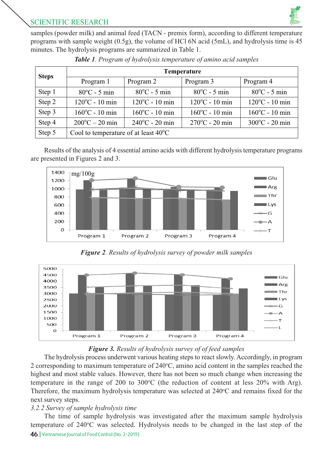

samples (powder milk) and animal feed (TACN - premix form), according to different temperature programs with sample weight (0.5g), the volume of HCl 6N acid (5mL), and hydrolysis time is 45 minutes. The hydrolysis programs are summarized in Table 1.

| <b>Steps</b> | Temperature                                    |                          |                          |                          |  |  |  |  |
|--------------|------------------------------------------------|--------------------------|--------------------------|--------------------------|--|--|--|--|
|              | Program 1                                      | Program 2                | Program 3                | Program 4                |  |  |  |  |
| Step 1       | $80^{\circ}$ C - 5 min                         | $80^{\circ}$ C - 5 min   |                          | $80^{\circ}$ C - 5 min   |  |  |  |  |
| Step 2       | $120^{\circ}$ C - 10 min                       | $120^{\circ}$ C - 10 min | $120^{\circ}$ C - 10 min | $120^{\circ}$ C - 10 min |  |  |  |  |
| Step 3       | $160^{\circ}$ C - 10 min                       | $160^{\circ}$ C - 10 min | $160^{\circ}$ C - 10 min | $160^{\circ}$ C - 10 min |  |  |  |  |
| Step 4       | $200^{\circ}$ C – 20 min                       | $240^{\circ}$ C - 20 min | $270^{\circ}$ C - 20 min | $300^{\circ}$ C - 20 min |  |  |  |  |
| Step 5       | Cool to temperature of at least $40^{\circ}$ C |                          |                          |                          |  |  |  |  |

|  |  |  | Table 1. Program of hydrolysis temperature of amino acid samples |  |  |
|--|--|--|------------------------------------------------------------------|--|--|
|--|--|--|------------------------------------------------------------------|--|--|

Results of the analysis of 4 essential amino acids with different hydrolysis temperature programs are presented in Figures 2 and 3.



*Figure 2. Results of hydrolysis survey of powder milk samples* 



# *Figure 3. Results of hydrolysis survey of of feed samples*

The hydrolysis process underwent various heating steps to react slowly. Accordingly, in program 2 corresponding to maximum temperature of  $240^{\circ}$ C, amino acid content in the samples reached the highest and most stable values. However, there has not been so much change when increasing the temperature in the range of 200 to 300 $^{\circ}$ C (the reduction of content at less 20% with Arg). Therefore, the maximum hydrolysis temperature was selected at 240°C and remains fixed for the next survey steps.

# *3.2.2 Survey of sample hydrolysis time*

46 | Vietnamese Journal of Food Control (No. 2-2019) The time of sample hydrolysis was investigated after the maximum sample hydrolysis temperature of 240°C was selected. Hydrolysis needs to be changed in the last step of the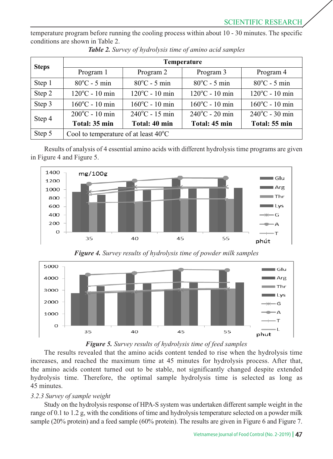temperature program before running the cooling process within about 10 - 30 minutes. The specific conditions are shown in Table 2.

| <b>Steps</b> | Temperature                                          |                          |                          |                          |  |  |  |  |
|--------------|------------------------------------------------------|--------------------------|--------------------------|--------------------------|--|--|--|--|
|              | Program 1                                            | Program 2                | Program 3                | Program 4                |  |  |  |  |
| Step 1       | $80^{\circ}$ C - 5 min                               | $80^{\circ}$ C - 5 min   | $80^{\circ}$ C - 5 min   | $80^{\circ}$ C - 5 min   |  |  |  |  |
| Step 2       | $120^{\circ}$ C - 10 min<br>$120^{\circ}$ C - 10 min |                          | $120^{\circ}$ C - 10 min | $120^{\circ}$ C - 10 min |  |  |  |  |
| Step 3       | $160^{\circ}$ C - 10 min                             | $160^{\circ}$ C - 10 min | $160^{\circ}$ C - 10 min | $160^{\circ}$ C - 10 min |  |  |  |  |
| Step 4       | $200^{\circ}$ C - 10 min                             | $240^{\circ}$ C - 15 min | $240^{\circ}$ C - 20 min | $240^{\circ}$ C - 30 min |  |  |  |  |
|              | Total: 35 min                                        | Total: 40 min            | Total: 45 min            | Total: 55 min            |  |  |  |  |
| Step 5       | Cool to temperature of at least $40^{\circ}$ C       |                          |                          |                          |  |  |  |  |

*Table 2. Survey of hydrolysis time of amino acid samples*

Results of analysis of 4 essential amino acids with different hydrolysis time programs are given in Figure 4 and Figure 5.



*Figure 4. Survey results of hydrolysis time of powder milk samples*





The results revealed that the amino acids content tended to rise when the hydrolysis time increases, and reached the maximum time at 45 minutes for hydrolysis process. After that, the amino acids content turned out to be stable, not significantly changed despite extended hydrolysis time. Therefore, the optimal sample hydrolysis time is selected as long as 45 minutes.

## *3.2.3 Survey of sample weight*

Study on the hydrolysis response of HPA-S system was undertaken different sample weight in the range of 0.1 to 1.2 g, with the conditions of time and hydrolysis temperature selected on a powder milk sample (20% protein) and a feed sample (60% protein). The results are given in Figure 6 and Figure 7.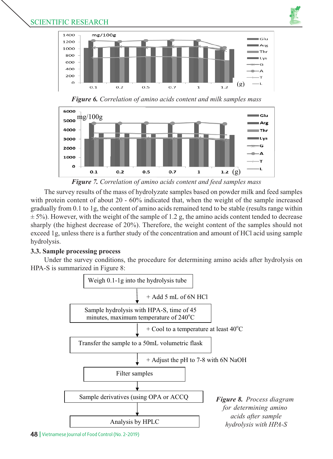

## SCIENTIFIC RESEARCH



*Figure 6. Correlation of amino acids content and milk samples mass*



*Figure 7. Correlation of amino acids content and feed samples mass*

The survey results of the mass of hydrolyzate samples based on powder milk and feed samples with protein content of about 20 - 60% indicated that, when the weight of the sample increased gradually from 0.1 to 1g, the content of amino acids remained tend to be stable (results range within  $\pm$  5%). However, with the weight of the sample of 1.2 g, the amino acids content tended to decrease sharply (the highest decrease of 20%). Therefore, the weight content of the samples should not exceed 1g, unless there is a further study of the concentration and amount of HCl acid using sample hydrolysis.

# **3.3. Sample processing process**

Under the survey conditions, the procedure for determining amino acids after hydrolysis on HPA-S is summarized in Figure 8:

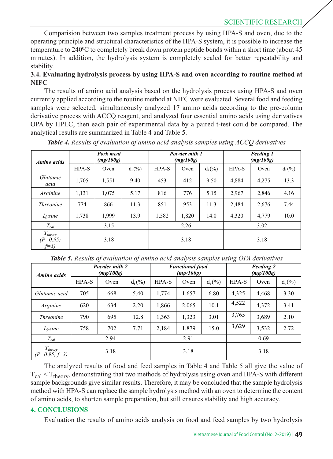# SCIENTIFIC RESEARCH

Comparision between two samples treatment process by using HPA-S and oven, due to the operating principle and structural characteristics of the HPA-S system, it is possible to increase the temperature to 240°C to completely break down protein peptide bonds within a short time (about 45 minutes). In addition, the hydrolysis system is completely sealed for better repeatability and stability.

#### **3.4. Evaluating hydrolysis process by using HPA-S and oven according to routine method at NIFC**

The results of amino acid analysis based on the hydrolysis process using HPA-S and oven currently applied according to the routine method at NIFC were evaluated. Several food and feeding samples were selected, simultaneously analyzed 17 amino acids according to the pre-column derivative process with ACCQ reagent, and analyzed four essential amino acids using derivatives OPA by HPLC, then each pair of experimental data by a paired t-test could be compared. The analytical results are summarized in Table 4 and Table 5.

| Amino acids                         | Pork meat<br>(mg/100g) |       |           | Powder milk 1<br>(mg/100g) |       |           | <b>Feeding 1</b><br>(mg/100g) |       |           |
|-------------------------------------|------------------------|-------|-----------|----------------------------|-------|-----------|-------------------------------|-------|-----------|
|                                     | HPA-S                  | Oven  | $d_i$ (%) | HPA-S                      | Oven  | $d_i$ (%) | HPA-S                         | Oven  | $d_i$ (%) |
| Glutamic<br>acid                    | 1,705                  | 1,551 | 9.40      | 453                        | 412   | 9.50      | 4,884                         | 4,275 | 13.3      |
| Arginine                            | 1,131                  | 1,075 | 5.17      | 816                        | 776   | 5.15      | 2,967                         | 2,846 | 4.16      |
| <i>Threonine</i>                    | 774                    | 866   | 11.3      | 851                        | 953   | 11.3      | 2,484                         | 2,676 | 7.44      |
| Lysine                              | 1,738                  | 1,999 | 13.9      | 1,582                      | 1,820 | 14.0      | 4,320                         | 4,779 | 10.0      |
| $T_{cal}$                           | 3.15                   |       |           | 2.26                       |       | 3.02      |                               |       |           |
| $T_{theory}$<br>$(P=0.95;$<br>$f=3$ |                        | 3.18  |           |                            | 3.18  |           |                               | 3.18  |           |

*Table 4. Results of evaluation of amino acid analysis samples using ACCQ derivatives*

*Table 5. Results of evaluation of amino acid analysis samples using OPA derivatives*

| Amino acids                     | Powder milk 2<br>(mg/100g) |      |           | <b>Functional</b> food<br>(mg/100g) |       |           | <b>Feeding 2</b><br>(mg/100g) |       |           |
|---------------------------------|----------------------------|------|-----------|-------------------------------------|-------|-----------|-------------------------------|-------|-----------|
|                                 | HPA-S                      | Oven | $d_i$ (%) | HPA-S                               | Oven  | $d_i$ (%) | HPA-S                         | Oven  | $d_i$ (%) |
| Glutamic acid                   | 705                        | 668  | 5.40      | 1.774                               | 1,657 | 6.80      | 4,325                         | 4,468 | 3.30      |
| Arginine                        | 620                        | 634  | 2.20      | 1.866                               | 2,065 | 10.1      | 4,522                         | 4,372 | 3.41      |
| <i>Threonine</i>                | 790                        | 695  | 12.8      | 1,363                               | 1,323 | 3.01      | 3,765                         | 3,689 | 2.10      |
| Lysine                          | 758                        | 702  | 7.71      | 2,184                               | 1,879 | 15.0      | 3,629                         | 3,532 | 2.72      |
| $T_{cal}$                       | 2.94                       |      |           | 2.91                                |       | 0.69      |                               |       |           |
| $T_{theory}$<br>$(P=0.95; f=3)$ | 3.18                       |      |           | 3.18                                |       | 3.18      |                               |       |           |

The analyzed results of food and feed samples in Table 4 and Table 5 all give the value of  $T_{cal}$  <  $T_{theory}$ , demonstrating that two methods of hydrolysis using oven and HPA-S with different sample backgrounds give similar results. Therefore, it may be concluded that the sample hydrolysis method with HPA-S can replace the sample hydrolysis method with an oven to determine the content of amino acids, to shorten sample preparation, but still ensures stability and high accuracy.

#### **4. CONCLUSIONS**

Evaluation the results of amino acids analysis on food and feed samples by two hydrolysis